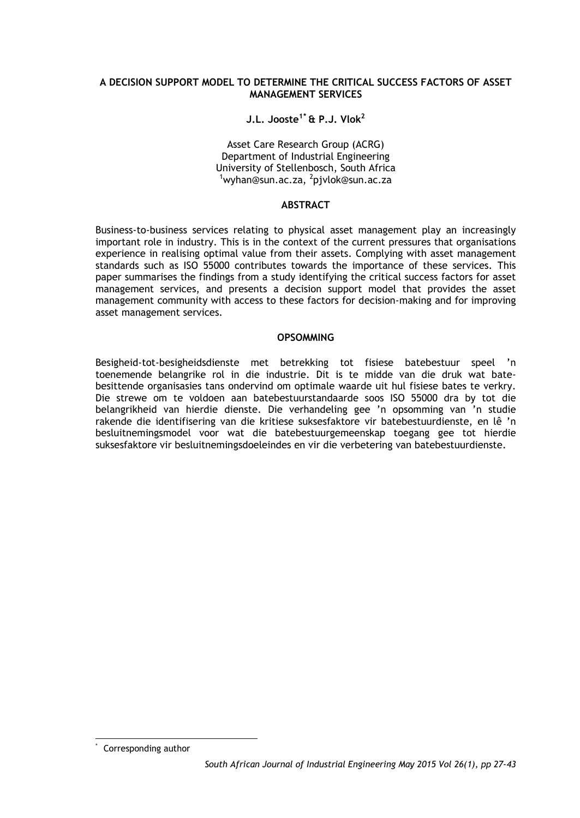### **A DECISION SUPPORT MODEL TO DETERMINE THE CRITICAL SUCCESS FACTORS OF ASSET MANAGEMENT SERVICES**

### **J.L. Jooste1[\\*](#page-0-0) & P.J. Vlok2**

Asset Care Research Group (ACRG) Department of Industrial Engineering University of Stellenbosch, South Africa <sup>1</sup> wyhan@sun.ac.za, <sup>2</sup>pjvlok@sun.ac.za

#### **ABSTRACT**

Business-to-business services relating to physical asset management play an increasingly important role in industry. This is in the context of the current pressures that organisations experience in realising optimal value from their assets. Complying with asset management standards such as ISO 55000 contributes towards the importance of these services. This paper summarises the findings from a study identifying the critical success factors for asset management services, and presents a decision support model that provides the asset management community with access to these factors for decision-making and for improving asset management services.

#### **OPSOMMING**

Besigheid-tot-besigheidsdienste met betrekking tot fisiese batebestuur speel 'n toenemende belangrike rol in die industrie. Dit is te midde van die druk wat batebesittende organisasies tans ondervind om optimale waarde uit hul fisiese bates te verkry. Die strewe om te voldoen aan batebestuurstandaarde soos ISO 55000 dra by tot die belangrikheid van hierdie dienste. Die verhandeling gee 'n opsomming van 'n studie rakende die identifisering van die kritiese suksesfaktore vir batebestuurdienste, en lê 'n besluitnemingsmodel voor wat die batebestuurgemeenskap toegang gee tot hierdie suksesfaktore vir besluitnemingsdoeleindes en vir die verbetering van batebestuurdienste.

<span id="page-0-0"></span>Corresponding author -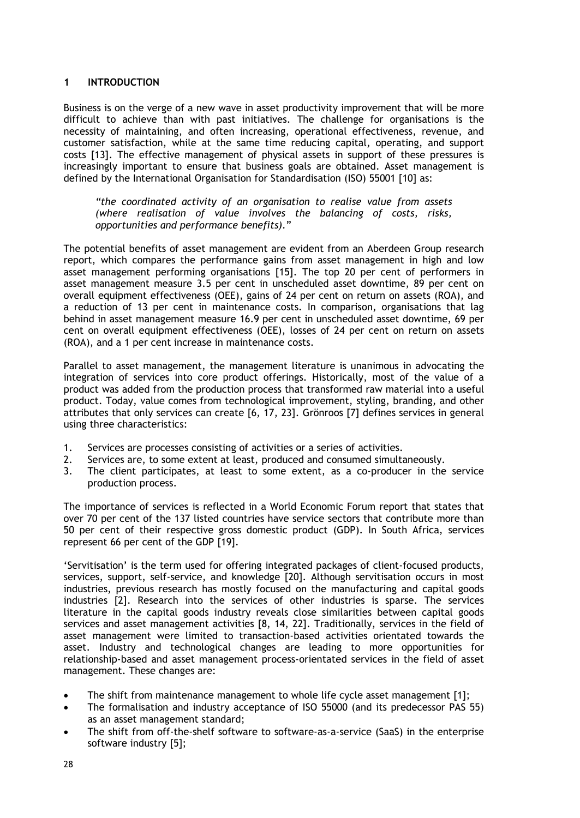### **1 INTRODUCTION**

Business is on the verge of a new wave in asset productivity improvement that will be more difficult to achieve than with past initiatives. The challenge for organisations is the necessity of maintaining, and often increasing, operational effectiveness, revenue, and customer satisfaction, while at the same time reducing capital, operating, and support costs [13]. The effective management of physical assets in support of these pressures is increasingly important to ensure that business goals are obtained. Asset management is defined by the International Organisation for Standardisation (ISO) 55001 [10] as:

*"the coordinated activity of an organisation to realise value from assets (where realisation of value involves the balancing of costs, risks, opportunities and performance benefits).*"

The potential benefits of asset management are evident from an Aberdeen Group research report, which compares the performance gains from asset management in high and low asset management performing organisations [15]. The top 20 per cent of performers in asset management measure 3.5 per cent in unscheduled asset downtime, 89 per cent on overall equipment effectiveness (OEE), gains of 24 per cent on return on assets (ROA), and a reduction of 13 per cent in maintenance costs. In comparison, organisations that lag behind in asset management measure 16.9 per cent in unscheduled asset downtime, 69 per cent on overall equipment effectiveness (OEE), losses of 24 per cent on return on assets (ROA), and a 1 per cent increase in maintenance costs.

Parallel to asset management, the management literature is unanimous in advocating the integration of services into core product offerings. Historically, most of the value of a product was added from the production process that transformed raw material into a useful product. Today, value comes from technological improvement, styling, branding, and other attributes that only services can create [6, 17, 23]. Grönroos [7] defines services in general using three characteristics:

- 1. Services are processes consisting of activities or a series of activities.
- 2. Services are, to some extent at least, produced and consumed simultaneously.
- 3. The client participates, at least to some extent, as a co-producer in the service production process.

The importance of services is reflected in a World Economic Forum report that states that over 70 per cent of the 137 listed countries have service sectors that contribute more than 50 per cent of their respective gross domestic product (GDP). In South Africa, services represent 66 per cent of the GDP [19].

'Servitisation' is the term used for offering integrated packages of client-focused products, services, support, self-service, and knowledge [20]. Although servitisation occurs in most industries, previous research has mostly focused on the manufacturing and capital goods industries [2]. Research into the services of other industries is sparse. The services literature in the capital goods industry reveals close similarities between capital goods services and asset management activities [8, 14, 22]. Traditionally, services in the field of asset management were limited to transaction-based activities orientated towards the asset. Industry and technological changes are leading to more opportunities for relationship-based and asset management process-orientated services in the field of asset management. These changes are:

- The shift from maintenance management to whole life cycle asset management [1];
- The formalisation and industry acceptance of ISO 55000 (and its predecessor PAS 55) as an asset management standard;
- The shift from off-the-shelf software to software-as-a-service (SaaS) in the enterprise software industry [5];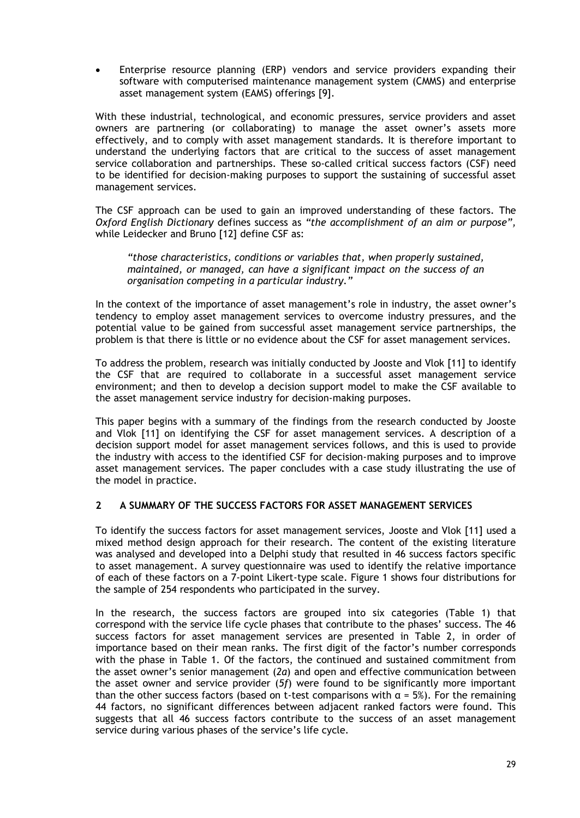• Enterprise resource planning (ERP) vendors and service providers expanding their software with computerised maintenance management system (CMMS) and enterprise asset management system (EAMS) offerings [9].

With these industrial, technological, and economic pressures, service providers and asset owners are partnering (or collaborating) to manage the asset owner's assets more effectively, and to comply with asset management standards. It is therefore important to understand the underlying factors that are critical to the success of asset management service collaboration and partnerships. These so-called critical success factors (CSF) need to be identified for decision-making purposes to support the sustaining of successful asset management services.

The CSF approach can be used to gain an improved understanding of these factors. The *Oxford English Dictionary* defines success as *"the accomplishment of an aim or purpose",* while Leidecker and Bruno [12] define CSF as:

*"those characteristics, conditions or variables that, when properly sustained, maintained, or managed, can have a significant impact on the success of an organisation competing in a particular industry."*

In the context of the importance of asset management's role in industry, the asset owner's tendency to employ asset management services to overcome industry pressures, and the potential value to be gained from successful asset management service partnerships, the problem is that there is little or no evidence about the CSF for asset management services.

To address the problem, research was initially conducted by Jooste and Vlok [11] to identify the CSF that are required to collaborate in a successful asset management service environment; and then to develop a decision support model to make the CSF available to the asset management service industry for decision-making purposes.

This paper begins with a summary of the findings from the research conducted by Jooste and Vlok [11] on identifying the CSF for asset management services. A description of a decision support model for asset management services follows, and this is used to provide the industry with access to the identified CSF for decision-making purposes and to improve asset management services. The paper concludes with a case study illustrating the use of the model in practice.

### **2 A SUMMARY OF THE SUCCESS FACTORS FOR ASSET MANAGEMENT SERVICES**

To identify the success factors for asset management services, Jooste and Vlok [11] used a mixed method design approach for their research. The content of the existing literature was analysed and developed into a Delphi study that resulted in 46 success factors specific to asset management. A survey questionnaire was used to identify the relative importance of each of these factors on a 7-point Likert-type scale. Figure 1 shows four distributions for the sample of 254 respondents who participated in the survey.

In the research, the success factors are grouped into six categories (Table 1) that correspond with the service life cycle phases that contribute to the phases' success. The 46 success factors for asset management services are presented in Table 2, in order of importance based on their mean ranks. The first digit of the factor's number corresponds with the phase in Table 1. Of the factors, the continued and sustained commitment from the asset owner's senior management (*2a*) and open and effective communication between the asset owner and service provider (*5f*) were found to be significantly more important than the other success factors (based on t-test comparisons with  $\alpha = 5\%$ ). For the remaining 44 factors, no significant differences between adjacent ranked factors were found. This suggests that all 46 success factors contribute to the success of an asset management service during various phases of the service's life cycle.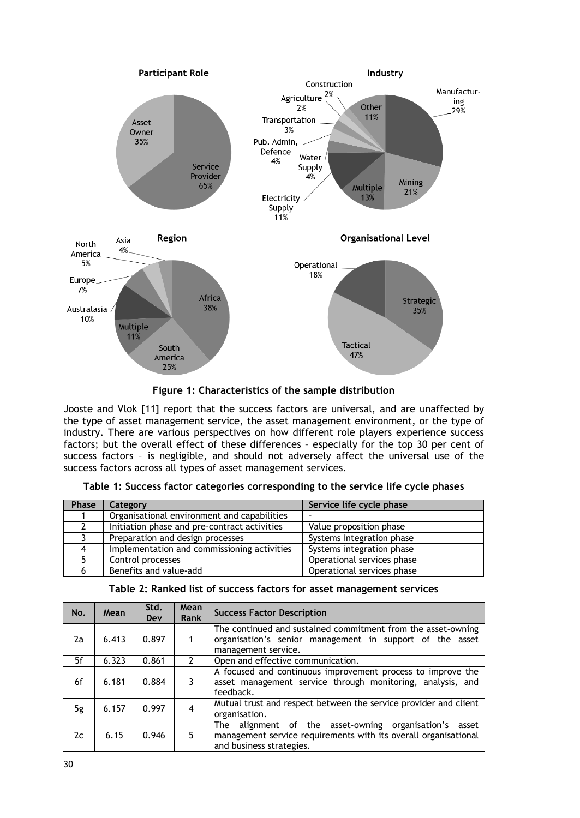

**Figure 1: Characteristics of the sample distribution**

Jooste and Vlok [11] report that the success factors are universal, and are unaffected by the type of asset management service, the asset management environment, or the type of industry. There are various perspectives on how different role players experience success factors; but the overall effect of these differences – especially for the top 30 per cent of success factors – is negligible, and should not adversely affect the universal use of the success factors across all types of asset management services.

| Phase | Category                                     | Service life cycle phase   |
|-------|----------------------------------------------|----------------------------|
|       | Organisational environment and capabilities  |                            |
|       | Initiation phase and pre-contract activities | Value proposition phase    |
|       | Preparation and design processes             | Systems integration phase  |
| 4     | Implementation and commissioning activities  | Systems integration phase  |
|       | Control processes                            | Operational services phase |
|       | Benefits and value-add                       | Operational services phase |

|  |  |  |  |  | Table 1: Success factor categories corresponding to the service life cycle phases |  |  |  |  |  |  |  |
|--|--|--|--|--|-----------------------------------------------------------------------------------|--|--|--|--|--|--|--|
|--|--|--|--|--|-----------------------------------------------------------------------------------|--|--|--|--|--|--|--|

| No. | Mean  | Std.<br>Dev | Mean<br>Rank   | <b>Success Factor Description</b>                                                                                                                           |
|-----|-------|-------------|----------------|-------------------------------------------------------------------------------------------------------------------------------------------------------------|
| 2a  | 6.413 | 0.897       | 1              | The continued and sustained commitment from the asset-owning<br>organisation's senior management in support of the asset<br>management service.             |
| 5f  | 6.323 | 0.861       | $\mathcal{P}$  | Open and effective communication.                                                                                                                           |
| 6f  | 6.181 | 0.884       | 3              | A focused and continuous improvement process to improve the<br>asset management service through monitoring, analysis, and<br>feedback.                      |
| 5g  | 6.157 | 0.997       | $\overline{4}$ | Mutual trust and respect between the service provider and client<br>organisation.                                                                           |
| 2c  | 6.15  | 0.946       | 5              | alignment of the asset-owning organisation's<br>The<br>asset<br>management service requirements with its overall organisational<br>and business strategies. |

| Table 2: Ranked list of success factors for asset management services |  |  |
|-----------------------------------------------------------------------|--|--|
|-----------------------------------------------------------------------|--|--|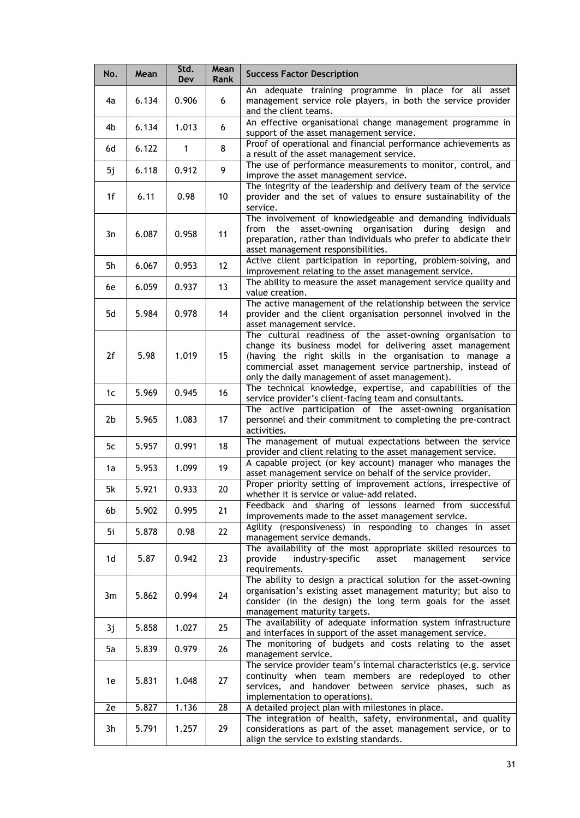| No. | Mean  | Std.<br>Dev | Mean<br>Rank      | <b>Success Factor Description</b>                                                                                                                                                                                                                                                                     |
|-----|-------|-------------|-------------------|-------------------------------------------------------------------------------------------------------------------------------------------------------------------------------------------------------------------------------------------------------------------------------------------------------|
| 4a  | 6.134 | 0.906       | 6                 | An adequate training programme in place for all asset<br>management service role players, in both the service provider<br>and the client teams.                                                                                                                                                       |
| 4b  | 6.134 | 1.013       | 6                 | An effective organisational change management programme in<br>support of the asset management service.                                                                                                                                                                                                |
| 6d  | 6.122 | 1           | 8                 | Proof of operational and financial performance achievements as<br>a result of the asset management service.                                                                                                                                                                                           |
| 5j  | 6.118 | 0.912       | 9                 | The use of performance measurements to monitor, control, and<br>improve the asset management service.                                                                                                                                                                                                 |
| 1f  | 6.11  | 0.98        | 10                | The integrity of the leadership and delivery team of the service<br>provider and the set of values to ensure sustainability of the<br>service.                                                                                                                                                        |
| 3n  | 6.087 | 0.958       | 11                | The involvement of knowledgeable and demanding individuals<br>asset-owning organisation<br>during<br>design<br>from<br>the<br>and<br>preparation, rather than individuals who prefer to abdicate their<br>asset management responsibilities.                                                          |
| 5h  | 6.067 | 0.953       | $12 \overline{ }$ | Active client participation in reporting, problem-solving, and<br>improvement relating to the asset management service.                                                                                                                                                                               |
| 6e  | 6.059 | 0.937       | 13                | The ability to measure the asset management service quality and<br>value creation.                                                                                                                                                                                                                    |
| 5d  | 5.984 | 0.978       | 14                | The active management of the relationship between the service<br>provider and the client organisation personnel involved in the<br>asset management service.                                                                                                                                          |
| 2f  | 5.98  | 1.019       | 15                | The cultural readiness of the asset-owning organisation to<br>change its business model for delivering asset management<br>(having the right skills in the organisation to manage a<br>commercial asset management service partnership, instead of<br>only the daily management of asset management). |
| 1c  | 5.969 | 0.945       | 16                | The technical knowledge, expertise, and capabilities of the<br>service provider's client-facing team and consultants.                                                                                                                                                                                 |
| 2b  | 5.965 | 1.083       | 17                | The active participation of the asset-owning organisation<br>personnel and their commitment to completing the pre-contract<br>activities.                                                                                                                                                             |
| 5c  | 5.957 | 0.991       | 18                | The management of mutual expectations between the service<br>provider and client relating to the asset management service.                                                                                                                                                                            |
| 1a  | 5.953 | 1.099       | 19                | A capable project (or key account) manager who manages the<br>asset management service on behalf of the service provider.                                                                                                                                                                             |
| 5k  | 5.921 | 0.933       | 20                | Proper priority setting of improvement actions, irrespective of<br>whether it is service or value-add related.                                                                                                                                                                                        |
| 6b  | 5.902 | 0.995       | 21                | Feedback and sharing of lessons learned from successful<br>improvements made to the asset management service.                                                                                                                                                                                         |
| 5i  | 5.878 | 0.98        | 22                | Agility (responsiveness) in responding to changes in asset<br>management service demands.                                                                                                                                                                                                             |
| 1d  | 5.87  | 0.942       | 23                | The availability of the most appropriate skilled resources to<br>provide<br>industry-specific<br>asset<br>management<br>service<br>requirements.                                                                                                                                                      |
| 3m  | 5.862 | 0.994       | 24                | The ability to design a practical solution for the asset-owning<br>organisation's existing asset management maturity; but also to<br>consider (in the design) the long term goals for the asset<br>management maturity targets.                                                                       |
| 3j  | 5.858 | 1.027       | 25                | The availability of adequate information system infrastructure<br>and interfaces in support of the asset management service.                                                                                                                                                                          |
| 5a  | 5.839 | 0.979       | 26                | The monitoring of budgets and costs relating to the asset<br>management service.                                                                                                                                                                                                                      |
| 1e  | 5.831 | 1.048       | 27                | The service provider team's internal characteristics (e.g. service<br>continuity when team members are redeployed to other<br>services, and handover between service phases, such as<br>implementation to operations).                                                                                |
| 2e  | 5.827 | 1.136       | 28                | A detailed project plan with milestones in place.                                                                                                                                                                                                                                                     |
| 3h  | 5.791 | 1.257       | 29                | The integration of health, safety, environmental, and quality<br>considerations as part of the asset management service, or to<br>align the service to existing standards.                                                                                                                            |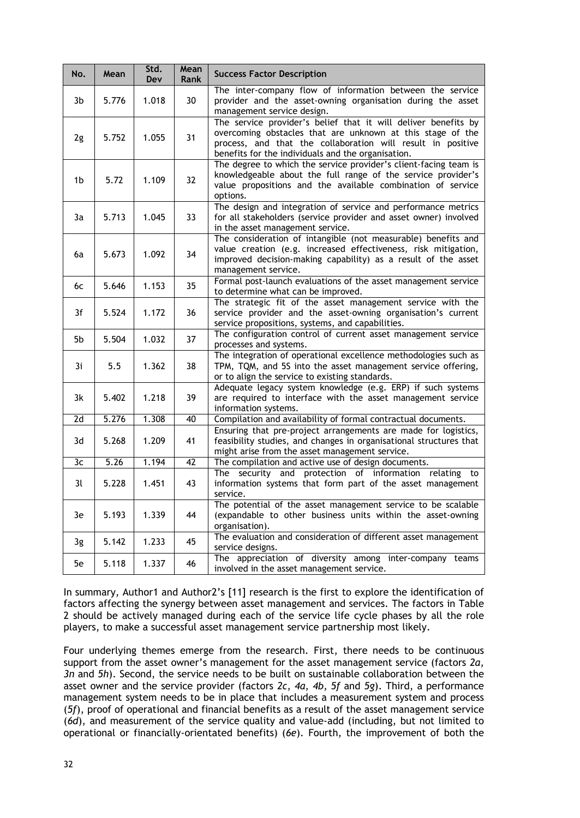| No. | Mean  | Std.<br>Dev | Mean<br><b>Rank</b> | <b>Success Factor Description</b>                                                                                                                                                                                                                 |
|-----|-------|-------------|---------------------|---------------------------------------------------------------------------------------------------------------------------------------------------------------------------------------------------------------------------------------------------|
| 3b  | 5.776 | 1.018       | 30                  | The inter-company flow of information between the service<br>provider and the asset-owning organisation during the asset<br>management service design.                                                                                            |
| 2g  | 5.752 | 1.055       | 31                  | The service provider's belief that it will deliver benefits by<br>overcoming obstacles that are unknown at this stage of the<br>process, and that the collaboration will result in positive<br>benefits for the individuals and the organisation. |
| 1b  | 5.72  | 1.109       | 32                  | The degree to which the service provider's client-facing team is<br>knowledgeable about the full range of the service provider's<br>value propositions and the available combination of service<br>options.                                       |
| 3a  | 5.713 | 1.045       | 33                  | The design and integration of service and performance metrics<br>for all stakeholders (service provider and asset owner) involved<br>in the asset management service.                                                                             |
| 6a  | 5.673 | 1.092       | 34                  | The consideration of intangible (not measurable) benefits and<br>value creation (e.g. increased effectiveness, risk mitigation,<br>improved decision-making capability) as a result of the asset<br>management service.                           |
| 6с  | 5.646 | 1.153       | 35                  | Formal post-launch evaluations of the asset management service<br>to determine what can be improved.                                                                                                                                              |
| 3f  | 5.524 | 1.172       | 36                  | The strategic fit of the asset management service with the<br>service provider and the asset-owning organisation's current<br>service propositions, systems, and capabilities.                                                                    |
| 5b  | 5.504 | 1.032       | 37                  | The configuration control of current asset management service<br>processes and systems.                                                                                                                                                           |
| 3i  | 5.5   | 1.362       | 38                  | The integration of operational excellence methodologies such as<br>TPM, TQM, and 5S into the asset management service offering,<br>or to align the service to existing standards.                                                                 |
| 3k  | 5.402 | 1.218       | 39                  | Adequate legacy system knowledge (e.g. ERP) if such systems<br>are required to interface with the asset management service<br>information systems.                                                                                                |
| 2d  | 5.276 | 1.308       | 40                  | Compilation and availability of formal contractual documents.                                                                                                                                                                                     |
| 3d  | 5.268 | 1.209       | 41                  | Ensuring that pre-project arrangements are made for logistics,<br>feasibility studies, and changes in organisational structures that<br>might arise from the asset management service.                                                            |
| 3c  | 5.26  | 1.194       | 42                  | The compilation and active use of design documents.                                                                                                                                                                                               |
| 3l  | 5.228 | 1.451       | 43                  | security and protection of information relating to<br>The<br>information systems that form part of the asset management<br>service.                                                                                                               |
| 3e  | 5.193 | 1.339       | 44                  | The potential of the asset management service to be scalable<br>(expandable to other business units within the asset-owning<br>organisation).                                                                                                     |
| 3g  | 5.142 | 1.233       | 45                  | The evaluation and consideration of different asset management<br>service designs.                                                                                                                                                                |
| 5e  | 5.118 | 1.337       | 46                  | The appreciation of diversity among inter-company teams<br>involved in the asset management service.                                                                                                                                              |

In summary, Author1 and Author2's [11] research is the first to explore the identification of factors affecting the synergy between asset management and services. The factors in Table 2 should be actively managed during each of the service life cycle phases by all the role players, to make a successful asset management service partnership most likely.

Four underlying themes emerge from the research. First, there needs to be continuous support from the asset owner's management for the asset management service (factors *2a*, *3n* and *5h*). Second, the service needs to be built on sustainable collaboration between the asset owner and the service provider (factors *2c*, *4a*, *4b*, *5f* and *5g*). Third, a performance management system needs to be in place that includes a measurement system and process (*5f*), proof of operational and financial benefits as a result of the asset management service (*6d*), and measurement of the service quality and value-add (including, but not limited to operational or financially-orientated benefits) (*6e*). Fourth, the improvement of both the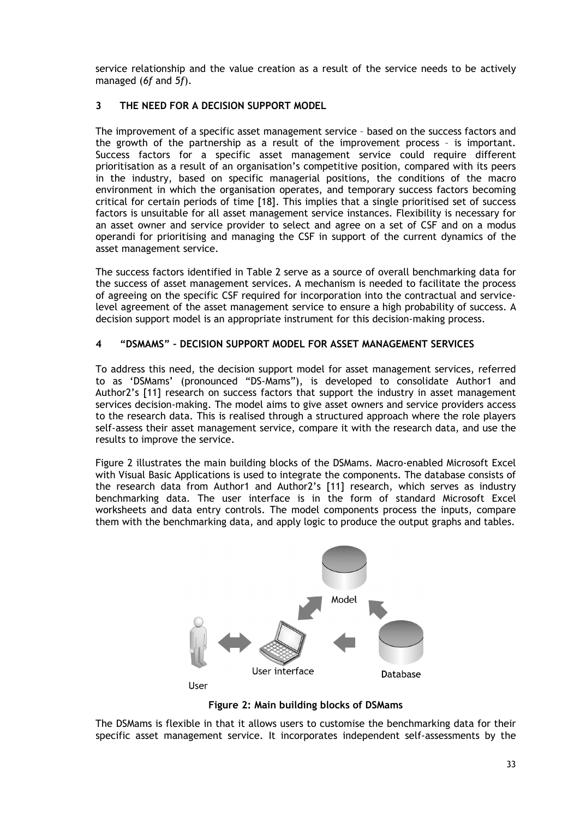service relationship and the value creation as a result of the service needs to be actively managed (*6f* and *5f*).

## **3 THE NEED FOR A DECISION SUPPORT MODEL**

The improvement of a specific asset management service – based on the success factors and the growth of the partnership as a result of the improvement process – is important. Success factors for a specific asset management service could require different prioritisation as a result of an organisation's competitive position, compared with its peers in the industry, based on specific managerial positions, the conditions of the macro environment in which the organisation operates, and temporary success factors becoming critical for certain periods of time [18]. This implies that a single prioritised set of success factors is unsuitable for all asset management service instances. Flexibility is necessary for an asset owner and service provider to select and agree on a set of CSF and on a modus operandi for prioritising and managing the CSF in support of the current dynamics of the asset management service.

The success factors identified in Table 2 serve as a source of overall benchmarking data for the success of asset management services. A mechanism is needed to facilitate the process of agreeing on the specific CSF required for incorporation into the contractual and servicelevel agreement of the asset management service to ensure a high probability of success. A decision support model is an appropriate instrument for this decision-making process.

### **4 "DSMAMS" – DECISION SUPPORT MODEL FOR ASSET MANAGEMENT SERVICES**

To address this need, the decision support model for asset management services, referred to as 'DSMams' (pronounced "DS-Mams"), is developed to consolidate Author1 and Author2's [11] research on success factors that support the industry in asset management services decision-making. The model aims to give asset owners and service providers access to the research data. This is realised through a structured approach where the role players self-assess their asset management service, compare it with the research data, and use the results to improve the service.

Figure 2 illustrates the main building blocks of the DSMams. Macro-enabled Microsoft Excel with Visual Basic Applications is used to integrate the components. The database consists of the research data from Author1 and Author2's [11] research, which serves as industry benchmarking data. The user interface is in the form of standard Microsoft Excel worksheets and data entry controls. The model components process the inputs, compare them with the benchmarking data, and apply logic to produce the output graphs and tables.



**Figure 2: Main building blocks of DSMams**

The DSMams is flexible in that it allows users to customise the benchmarking data for their specific asset management service. It incorporates independent self-assessments by the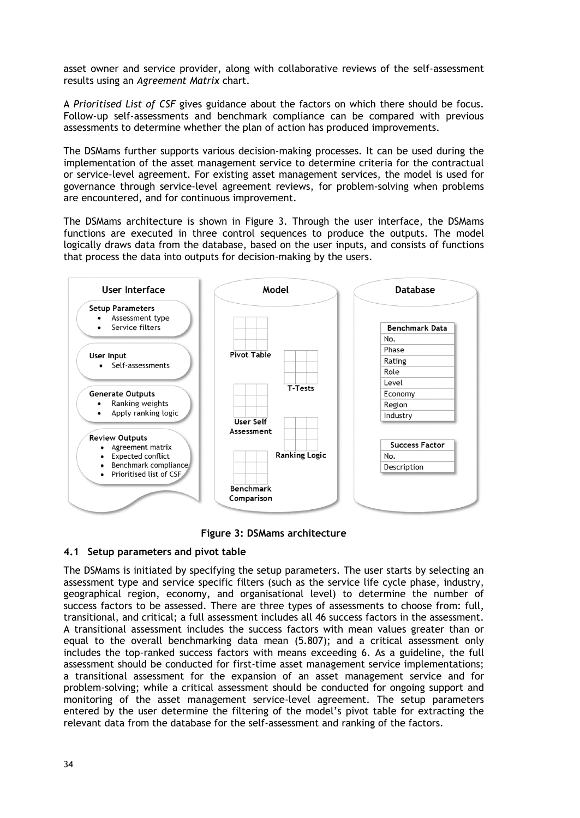asset owner and service provider, along with collaborative reviews of the self-assessment results using an *Agreement Matrix* chart.

A *Prioritised List of CSF* gives guidance about the factors on which there should be focus. Follow-up self-assessments and benchmark compliance can be compared with previous assessments to determine whether the plan of action has produced improvements.

The DSMams further supports various decision-making processes. It can be used during the implementation of the asset management service to determine criteria for the contractual or service-level agreement. For existing asset management services, the model is used for governance through service-level agreement reviews, for problem-solving when problems are encountered, and for continuous improvement.

The DSMams architecture is shown in Figure 3. Through the user interface, the DSMams functions are executed in three control sequences to produce the outputs. The model logically draws data from the database, based on the user inputs, and consists of functions that process the data into outputs for decision-making by the users.



**Figure 3: DSMams architecture**

### **4.1 Setup parameters and pivot table**

The DSMams is initiated by specifying the setup parameters. The user starts by selecting an assessment type and service specific filters (such as the service life cycle phase, industry, geographical region, economy, and organisational level) to determine the number of success factors to be assessed. There are three types of assessments to choose from: full, transitional, and critical; a full assessment includes all 46 success factors in the assessment. A transitional assessment includes the success factors with mean values greater than or equal to the overall benchmarking data mean (5.807); and a critical assessment only includes the top-ranked success factors with means exceeding 6. As a guideline, the full assessment should be conducted for first-time asset management service implementations; a transitional assessment for the expansion of an asset management service and for problem-solving; while a critical assessment should be conducted for ongoing support and monitoring of the asset management service-level agreement. The setup parameters entered by the user determine the filtering of the model's pivot table for extracting the relevant data from the database for the self-assessment and ranking of the factors.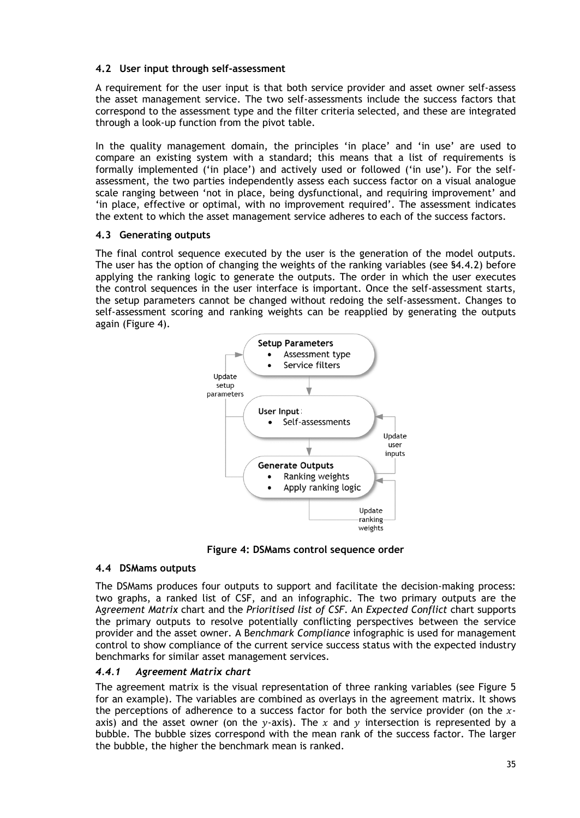# **4.2 User input through self-assessment**

A requirement for the user input is that both service provider and asset owner self-assess the asset management service. The two self-assessments include the success factors that correspond to the assessment type and the filter criteria selected, and these are integrated through a look-up function from the pivot table.

In the quality management domain, the principles 'in place' and 'in use' are used to compare an existing system with a standard; this means that a list of requirements is formally implemented ('in place') and actively used or followed ('in use'). For the selfassessment, the two parties independently assess each success factor on a visual analogue scale ranging between 'not in place, being dysfunctional, and requiring improvement' and 'in place, effective or optimal, with no improvement required'. The assessment indicates the extent to which the asset management service adheres to each of the success factors.

### **4.3 Generating outputs**

The final control sequence executed by the user is the generation of the model outputs. The user has the option of changing the weights of the ranking variables (see §4.4.2) before applying the ranking logic to generate the outputs. The order in which the user executes the control sequences in the user interface is important. Once the self-assessment starts, the setup parameters cannot be changed without redoing the self-assessment. Changes to self-assessment scoring and ranking weights can be reapplied by generating the outputs again (Figure 4).



**Figure 4: DSMams control sequence order**

# **4.4 DSMams outputs**

The DSMams produces four outputs to support and facilitate the decision-making process: two graphs, a ranked list of CSF, and an infographic. The two primary outputs are the A*greement Matrix* chart and the *Prioritised list of CSF*. An *Expected Conflict* chart supports the primary outputs to resolve potentially conflicting perspectives between the service provider and the asset owner. A B*enchmark Compliance* infographic is used for management control to show compliance of the current service success status with the expected industry benchmarks for similar asset management services.

# *4.4.1 Agreement Matrix chart*

The agreement matrix is the visual representation of three ranking variables (see Figure 5 for an example). The variables are combined as overlays in the agreement matrix. It shows the perceptions of adherence to a success factor for both the service provider (on the  $x$ axis) and the asset owner (on the  $y$ -axis). The  $x$  and  $y$  intersection is represented by a bubble. The bubble sizes correspond with the mean rank of the success factor. The larger the bubble, the higher the benchmark mean is ranked.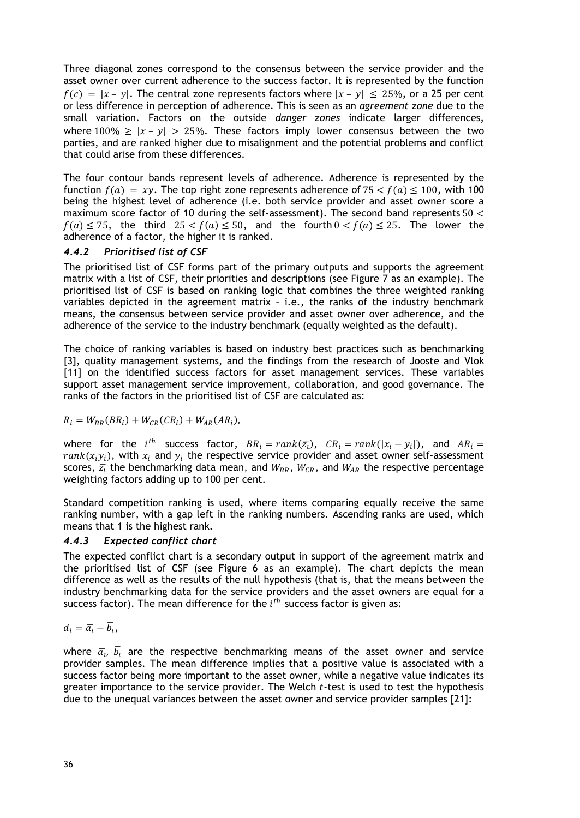Three diagonal zones correspond to the consensus between the service provider and the asset owner over current adherence to the success factor. It is represented by the function  $f(c) = |x - y|$ . The central zone represents factors where  $|x - y| \le 25\%$ , or a 25 per cent or less difference in perception of adherence. This is seen as an *agreement zone* due to the small variation. Factors on the outside *danger zones* indicate larger differences, where 100%  $\ge |x - y| > 25$ %. These factors imply lower consensus between the two parties, and are ranked higher due to misalignment and the potential problems and conflict that could arise from these differences.

The four contour bands represent levels of adherence. Adherence is represented by the function  $f(a) = xv$ . The top right zone represents adherence of  $75 < f(a) < 100$ , with 100 being the highest level of adherence (i.e. both service provider and asset owner score a maximum score factor of 10 during the self-assessment). The second band represents  $50 <$  $f(a) \le 75$ , the third  $25 < f(a) \le 50$ , and the fourth  $0 < f(a) \le 25$ . The lower the adherence of a factor, the higher it is ranked.

### *4.4.2 Prioritised list of CSF*

The prioritised list of CSF forms part of the primary outputs and supports the agreement matrix with a list of CSF, their priorities and descriptions (see Figure 7 as an example). The prioritised list of CSF is based on ranking logic that combines the three weighted ranking variables depicted in the agreement matrix – i.e., the ranks of the industry benchmark means, the consensus between service provider and asset owner over adherence, and the adherence of the service to the industry benchmark (equally weighted as the default).

The choice of ranking variables is based on industry best practices such as benchmarking [3], quality management systems, and the findings from the research of Jooste and Vlok [11] on the identified success factors for asset management services. These variables support asset management service improvement, collaboration, and good governance. The ranks of the factors in the prioritised list of CSF are calculated as:

$$
R_i = W_{BR}(BR_i) + W_{CR}(CR_i) + W_{AR}(AR_i),
$$

where for the  $i^{th}$  success factor,  $BR_i = rank(\overline{z_i})$ ,  $CR_i = rank(|x_i - y_i|)$ , and  $AR_i =$  $rank(x_i, y_i)$ , with  $x_i$  and  $y_i$  the respective service provider and asset owner self-assessment scores,  $\bar{z}_i$  the benchmarking data mean, and  $W_{BR}$ ,  $W_{CR}$ , and  $W_{AR}$  the respective percentage weighting factors adding up to 100 per cent.

Standard competition ranking is used, where items comparing equally receive the same ranking number, with a gap left in the ranking numbers. Ascending ranks are used, which means that 1 is the highest rank.

#### *4.4.3 Expected conflict chart*

The expected conflict chart is a secondary output in support of the agreement matrix and the prioritised list of CSF (see Figure 6 as an example). The chart depicts the mean difference as well as the results of the null hypothesis (that is, that the means between the industry benchmarking data for the service providers and the asset owners are equal for a success factor). The mean difference for the  $i^{th}$  success factor is given as:

$$
d_i = \overline{a_i} - \overline{b_i},
$$

where  $\bar{a}_i$ ,  $b_i$  are the respective benchmarking means of the asset owner and service provider samples. The mean difference implies that a positive value is associated with a success factor being more important to the asset owner, while a negative value indicates its greater importance to the service provider. The Welch  $t$ -test is used to test the hypothesis due to the unequal variances between the asset owner and service provider samples [21]: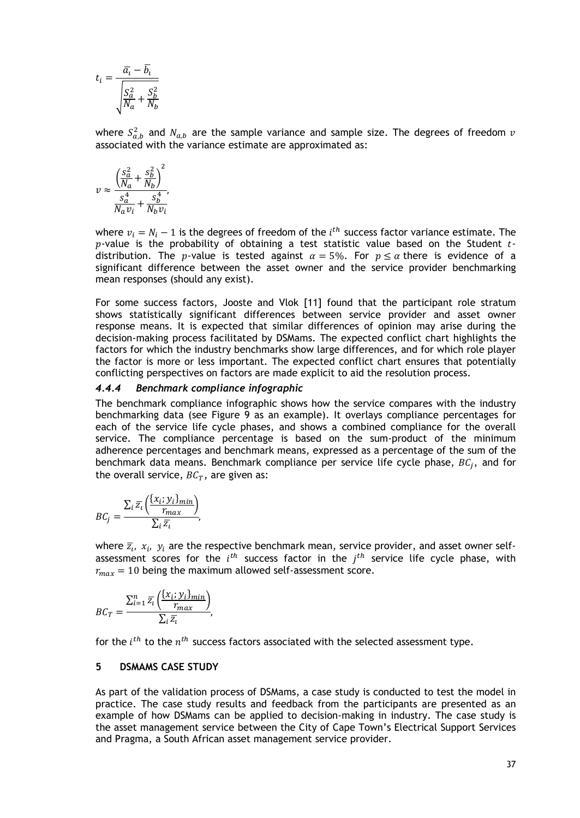$$
t_i = \frac{\overline{a_i} - \overline{b_i}}{\sqrt{\frac{S_a^2}{N_a} + \frac{S_b^2}{N_b}}}
$$

where  $S_{a,b}^2$  and  $N_{a,b}$  are the sample variance and sample size. The degrees of freedom  $\nu$ associated with the variance estimate are approximated as:

$$
v \approx \frac{\left(\frac{S_a^2}{N_a} + \frac{S_b^2}{N_b}\right)^2}{\frac{S_a^4}{N_a v_i} + \frac{S_b^4}{N_b v_i}},
$$

where  $v_i = N_i - 1$  is the degrees of freedom of the  $i^{th}$  success factor variance estimate. The  $p$ -value is the probability of obtaining a test statistic value based on the Student  $t$ distribution. The *p*-value is tested against  $\alpha = 5\%$ . For  $p \le \alpha$  there is evidence of a significant difference between the asset owner and the service provider benchmarking mean responses (should any exist).

For some success factors, Jooste and Vlok [11] found that the participant role stratum shows statistically significant differences between service provider and asset owner response means. It is expected that similar differences of opinion may arise during the decision-making process facilitated by DSMams. The expected conflict chart highlights the factors for which the industry benchmarks show large differences, and for which role player the factor is more or less important. The expected conflict chart ensures that potentially conflicting perspectives on factors are made explicit to aid the resolution process.

#### *4.4.4 Benchmark compliance infographic*

The benchmark compliance infographic shows how the service compares with the industry benchmarking data (see Figure 9 as an example). It overlays compliance percentages for each of the service life cycle phases, and shows a combined compliance for the overall service. The compliance percentage is based on the sum-product of the minimum adherence percentages and benchmark means, expressed as a percentage of the sum of the benchmark data means. Benchmark compliance per service life cycle phase,  $BC_i$ , and for the overall service,  $BC_T$ , are given as:

$$
BC_j = \frac{\sum_i \overline{z_i} \left( \frac{\{x_i; y_i\}_{min}}{r_{max}} \right)}{\sum_i \overline{z_i}},
$$

where  $\bar{z}_i$ ,  $x_i$ ,  $y_i$  are the respective benchmark mean, service provider, and asset owner selfassessment scores for the  $i^{th}$  success factor in the  $j^{th}$  service life cycle phase, with  $r_{max} = 10$  being the maximum allowed self-assessment score.

$$
BC_T = \frac{\sum_{i=1}^{n} \overline{z_i} \left( \frac{\{x_i; y_i\}_{min}}{r_{max}} \right)}{\sum_i \overline{z_i}},
$$

for the  $i^{th}$  to the  $n^{th}$  success factors associated with the selected assessment type.

#### **5 DSMAMS CASE STUDY**

As part of the validation process of DSMams*,* a case study is conducted to test the model in practice. The case study results and feedback from the participants are presented as an example of how DSMams can be applied to decision-making in industry. The case study is the asset management service between the City of Cape Town's Electrical Support Services and Pragma, a South African asset management service provider.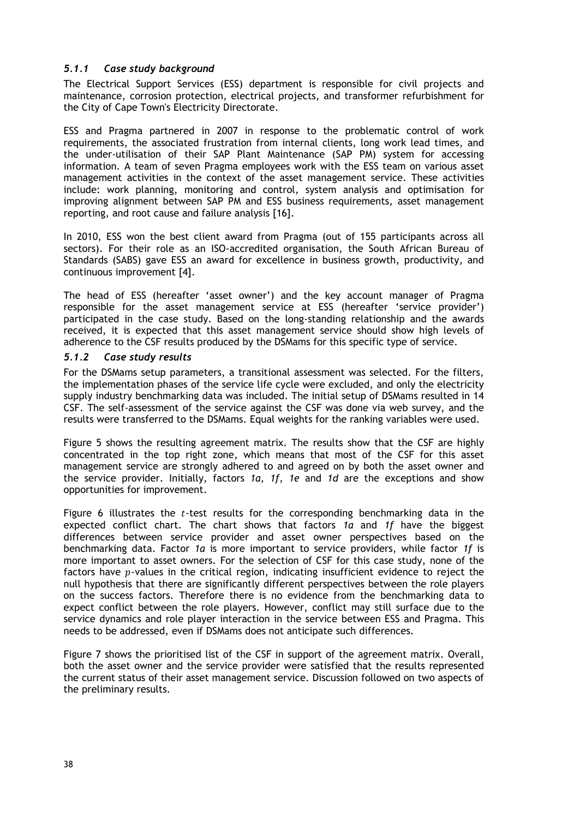# *5.1.1 Case study background*

The Electrical Support Services (ESS) department is responsible for civil projects and maintenance, corrosion protection, electrical projects, and transformer refurbishment for the City of Cape Town's Electricity Directorate.

ESS and Pragma partnered in 2007 in response to the problematic control of work requirements, the associated frustration from internal clients, long work lead times, and the under-utilisation of their SAP Plant Maintenance (SAP PM) system for accessing information. A team of seven Pragma employees work with the ESS team on various asset management activities in the context of the asset management service. These activities include: work planning, monitoring and control, system analysis and optimisation for improving alignment between SAP PM and ESS business requirements, asset management reporting, and root cause and failure analysis [16].

In 2010, ESS won the best client award from Pragma (out of 155 participants across all sectors). For their role as an ISO-accredited organisation, the South African Bureau of Standards (SABS) gave ESS an award for excellence in business growth, productivity, and continuous improvement [4].

The head of ESS (hereafter 'asset owner') and the key account manager of Pragma responsible for the asset management service at ESS (hereafter 'service provider') participated in the case study. Based on the long-standing relationship and the awards received, it is expected that this asset management service should show high levels of adherence to the CSF results produced by the DSMams for this specific type of service.

### *5.1.2 Case study results*

For the DSMams setup parameters, a transitional assessment was selected. For the filters, the implementation phases of the service life cycle were excluded, and only the electricity supply industry benchmarking data was included. The initial setup of DSMams resulted in 14 CSF. The self-assessment of the service against the CSF was done via web survey, and the results were transferred to the DSMams. Equal weights for the ranking variables were used.

Figure 5 shows the resulting agreement matrix. The results show that the CSF are highly concentrated in the top right zone, which means that most of the CSF for this asset management service are strongly adhered to and agreed on by both the asset owner and the service provider. Initially, factors *1a*, *1f*, *1e* and *1d* are the exceptions and show opportunities for improvement.

Figure 6 illustrates the  $t$ -test results for the corresponding benchmarking data in the expected conflict chart. The chart shows that factors *1a* and *1f* have the biggest differences between service provider and asset owner perspectives based on the benchmarking data. Factor *1a* is more important to service providers, while factor *1f* is more important to asset owners. For the selection of CSF for this case study, none of the factors have  $p$ -values in the critical region, indicating insufficient evidence to reject the null hypothesis that there are significantly different perspectives between the role players on the success factors. Therefore there is no evidence from the benchmarking data to expect conflict between the role players. However, conflict may still surface due to the service dynamics and role player interaction in the service between ESS and Pragma. This needs to be addressed, even if DSMams does not anticipate such differences.

Figure 7 shows the prioritised list of the CSF in support of the agreement matrix. Overall, both the asset owner and the service provider were satisfied that the results represented the current status of their asset management service. Discussion followed on two aspects of the preliminary results.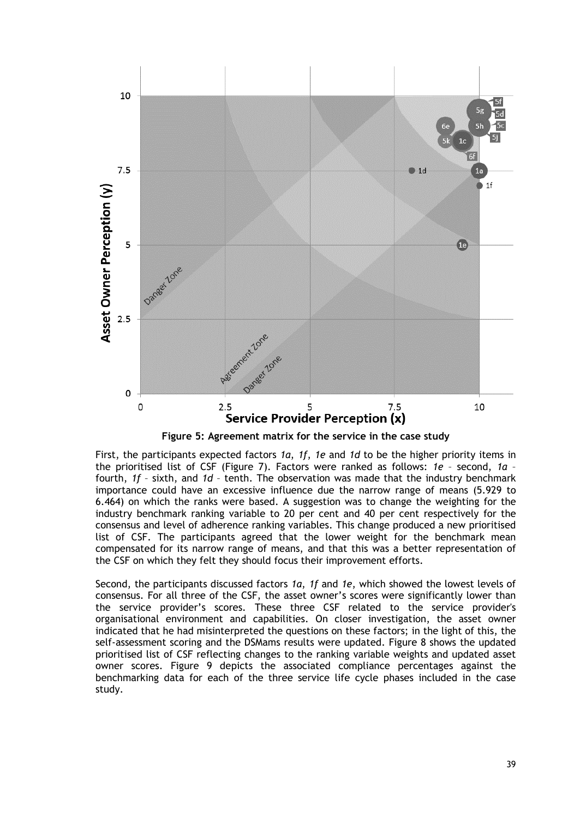

**Figure 5: Agreement matrix for the service in the case study**

First, the participants expected factors *1a*, *1f*, *1e* and *1d* to be the higher priority items in the prioritised list of CSF (Figure 7). Factors were ranked as follows: *1e* – second, *1a* – fourth, *1f* – sixth, and *1d* – tenth. The observation was made that the industry benchmark importance could have an excessive influence due the narrow range of means (5.929 to 6.464) on which the ranks were based. A suggestion was to change the weighting for the industry benchmark ranking variable to 20 per cent and 40 per cent respectively for the consensus and level of adherence ranking variables. This change produced a new prioritised list of CSF. The participants agreed that the lower weight for the benchmark mean compensated for its narrow range of means, and that this was a better representation of the CSF on which they felt they should focus their improvement efforts.

Second, the participants discussed factors *1a*, *1f* and *1e*, which showed the lowest levels of consensus. For all three of the CSF, the asset owner's scores were significantly lower than the service provider's scores. These three CSF related to the service provider's organisational environment and capabilities. On closer investigation, the asset owner indicated that he had misinterpreted the questions on these factors; in the light of this, the self-assessment scoring and the DSMams results were updated. Figure 8 shows the updated prioritised list of CSF reflecting changes to the ranking variable weights and updated asset owner scores. Figure 9 depicts the associated compliance percentages against the benchmarking data for each of the three service life cycle phases included in the case study.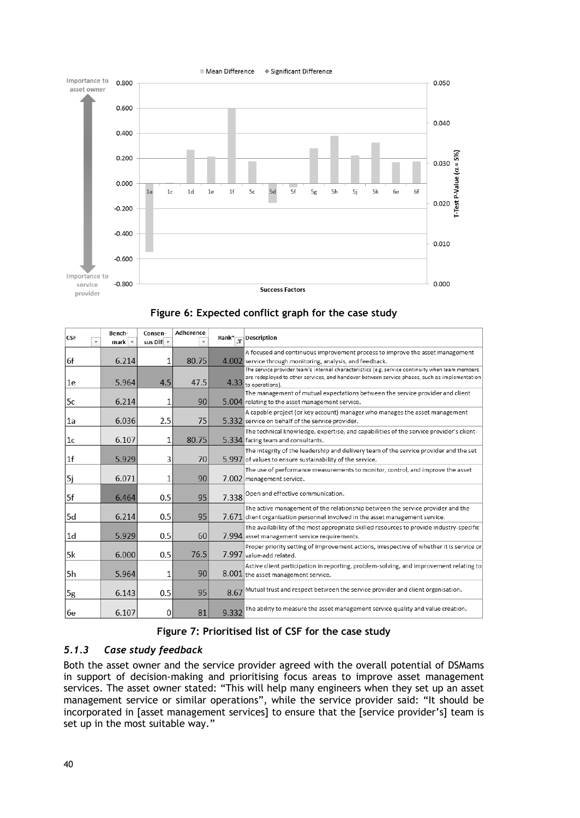



| <b>CSF</b>     | Bench-<br>mark | Consen-<br>sus Dif $\overline{\phantom{a}}$ | Adherence |       | Rank <sup>*</sup> $\sqrt{\frac{1}{x}}$ Description                                                                                                                                                                       |
|----------------|----------------|---------------------------------------------|-----------|-------|--------------------------------------------------------------------------------------------------------------------------------------------------------------------------------------------------------------------------|
|                |                |                                             |           |       | A focused and continuous improvement process to improve the asset management                                                                                                                                             |
| 6f             | 6.214          | 1                                           | 80.75     |       | 4.002 service through monitoring, analysis, and feedback.                                                                                                                                                                |
| 1e             | 5.964          | 4.5                                         | 47.5      |       | The service provider team's internal characteristics (e.g. service continuity when team members<br>are redeployed to other services, and handover between service phases, such as implementation<br>4.33 to operations). |
| 5c             | 6.214          | 1                                           | 90        |       | The management of mutual expectations between the service provider and client<br>5.004 relating to the asset management service.                                                                                         |
| 1a             | 6.036          | 2.5                                         | 75        |       | A capable project (or key account) manager who manages the asset management<br>5.332 service on behalf of the service provider.                                                                                          |
| 1c             | 6.107          | 1                                           | 80.75     |       | The technical knowledge, expertise, and capabilities of the service provider's client-<br>5.334 facing team and consultants.                                                                                             |
| 1 <sub>f</sub> | 5.929          | 3                                           | 70        |       | The integrity of the leadership and delivery team of the service provider and the set<br>5.997 of values to ensure sustainability of the service.                                                                        |
| 5j             | 6.071          | 1                                           | 90        |       | The use of performance measurements to monitor, control, and improve the asset<br>7.002 management service.                                                                                                              |
| 5f             | 6.464          | 0.5                                         | 95        | 7.338 | Open and effective communication.                                                                                                                                                                                        |
| 5d             | 6.214          | 0.5                                         | 95        |       | The active management of the relationship between the service provider and the<br>$7.671$ client organisation personnel involved in the asset management service.                                                        |
| 1 <sub>d</sub> | 5.929          | 0.5                                         | 60        |       | The availability of the most appropriate skilled resources to provide industry-specific<br>7.994 asset management service requirements.                                                                                  |
| 5k             | 6.000          | 0.5                                         | 76.5      |       | Proper priority setting of improvement actions, irrespective of whether it is service or<br>7.997 value-add related.                                                                                                     |
| 5h             | 5.964          | 1                                           | 90        |       | Active client participation in reporting, problem-solving, and improvement relating to<br>8.001 the asset management service.                                                                                            |
| 5g             | 6.143          | 0.5                                         | 95        | 8.67  | Mutual trust and respect between the service provider and client organisation.                                                                                                                                           |
| 6e             | 6.107          | 0                                           | 81        | 9.332 | The ability to measure the asset management service quality and value creation.                                                                                                                                          |

# **Figure 7: Prioritised list of CSF for the case study**

# *5.1.3 Case study feedback*

Both the asset owner and the service provider agreed with the overall potential of DSMams in support of decision-making and prioritising focus areas to improve asset management services. The asset owner stated: "This will help many engineers when they set up an asset management service or similar operations", while the service provider said: "It should be incorporated in [asset management services] to ensure that the [service provider's] team is set up in the most suitable way."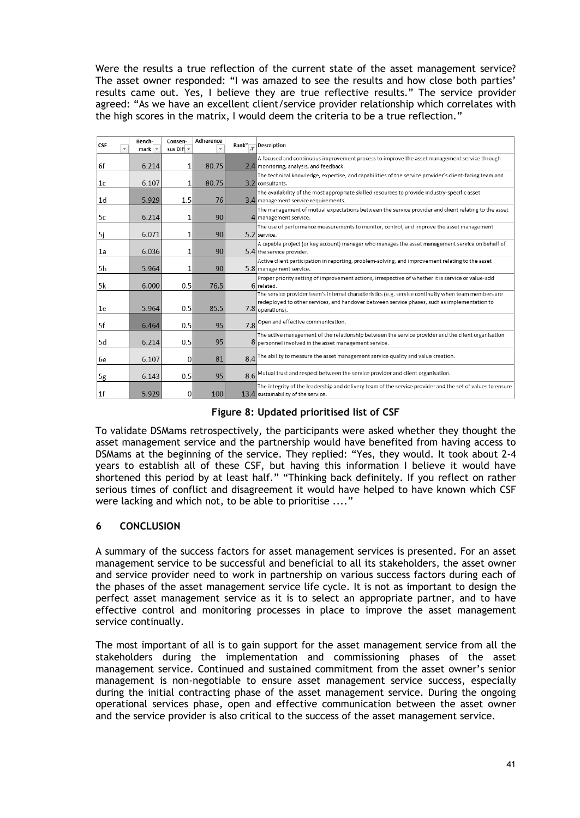Were the results a true reflection of the current state of the asset management service? The asset owner responded: "I was amazed to see the results and how close both parties' results came out. Yes, I believe they are true reflective results." The service provider agreed: "As we have an excellent client/service provider relationship which correlates with the high scores in the matrix, I would deem the criteria to be a true reflection."

| <b>CSF</b> | Bench-<br>mark $\sim$ | Consen-<br>sus Dif $\overline{ }$ | Adherence |     | Rank <sup>*</sup> Pescription                                                                                                                                                                                             |
|------------|-----------------------|-----------------------------------|-----------|-----|---------------------------------------------------------------------------------------------------------------------------------------------------------------------------------------------------------------------------|
| 6f         | 6.214                 | 1                                 | 80.75     |     | A focused and continuous improvement process to improve the asset management service through<br>2.4 monitoring, analysis, and feedback.                                                                                   |
| 1c         | 6.107                 | 1                                 | 80.75     |     | The technical knowledge, expertise, and capabilities of the service provider's client-facing team and<br>3.2 consultants.                                                                                                 |
| 1d         | 5.929                 | 1.5                               | 76        |     | The availability of the most appropriate skilled resources to provide industry-specific asset<br>3.4 management service requirements.                                                                                     |
| 5c         | 6.214                 |                                   | 90        |     | The management of mutual expectations between the service provider and client relating to the asset<br>4 management service.                                                                                              |
| 5j         | 6.071                 | 1                                 | 90        |     | The use of performance measurements to monitor, control, and improve the asset management<br>5.2 service.                                                                                                                 |
| 1a         | 6.036                 |                                   | 90        |     | A capable project (or key account) manager who manages the asset management service on behalf of<br>5.4 the service provider.                                                                                             |
| 5h         | 5.964                 | 1                                 | 90        |     | Active client participation in reporting, problem-solving, and improvement relating to the asset<br>5.8 management service.                                                                                               |
| 5k         | 6.000                 | 0.5                               | 76.5      |     | Proper priority setting of improvement actions, irrespective of whether it is service or value-add<br>6 related.                                                                                                          |
| 1e         | 5.964                 | 0.5                               | 85.5      |     | The service provider team's internal characteristics (e.g. service continuity when team members are<br>redeployed to other services, and handover between service phases, such as implementation to<br>$7.8$ operations). |
| 5f         | 6.464                 | 0.5                               | 95        | 7.8 | Open and effective communication.                                                                                                                                                                                         |
| 5d         | 6.214                 | 0.5                               | 95        |     | The active management of the relationship between the service provider and the client organisation<br>8 personnel involved in the asset management service.                                                               |
| 6e         | 6.107                 | $\Omega$                          | 81        |     | $8.4$ <sup>The ability to measure the asset management service quality and value creation.</sup>                                                                                                                          |
| 5g         | 6.143                 | 0.5                               | 95        |     | 8.6 Mutual trust and respect between the service provider and client organisation.                                                                                                                                        |
| 1f         | 5.929                 | $\mathbf{0}$                      | 100       |     | The integrity of the leadership and delivery team of the service provider and the set of values to ensure<br>13.4 sustainability of the service.                                                                          |

## **Figure 8: Updated prioritised list of CSF**

To validate DSMams retrospectively, the participants were asked whether they thought the asset management service and the partnership would have benefited from having access to DSMams at the beginning of the service. They replied: "Yes, they would. It took about 2-4 years to establish all of these CSF, but having this information I believe it would have shortened this period by at least half." "Thinking back definitely. If you reflect on rather serious times of conflict and disagreement it would have helped to have known which CSF were lacking and which not, to be able to prioritise ...."

# **6 CONCLUSION**

A summary of the success factors for asset management services is presented. For an asset management service to be successful and beneficial to all its stakeholders, the asset owner and service provider need to work in partnership on various success factors during each of the phases of the asset management service life cycle. It is not as important to design the perfect asset management service as it is to select an appropriate partner, and to have effective control and monitoring processes in place to improve the asset management service continually.

The most important of all is to gain support for the asset management service from all the stakeholders during the implementation and commissioning phases of the asset management service. Continued and sustained commitment from the asset owner's senior management is non-negotiable to ensure asset management service success, especially during the initial contracting phase of the asset management service. During the ongoing operational services phase, open and effective communication between the asset owner and the service provider is also critical to the success of the asset management service.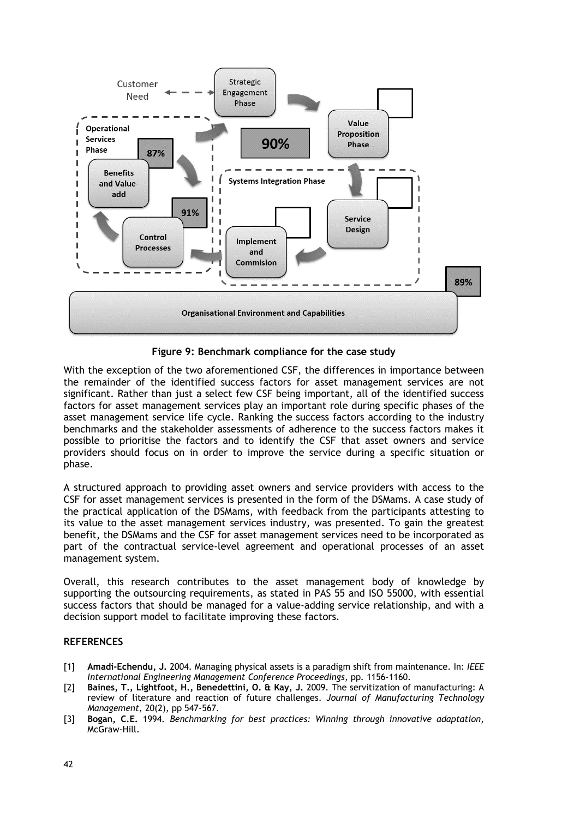

**Figure 9: Benchmark compliance for the case study**

With the exception of the two aforementioned CSF, the differences in importance between the remainder of the identified success factors for asset management services are not significant. Rather than just a select few CSF being important, all of the identified success factors for asset management services play an important role during specific phases of the asset management service life cycle. Ranking the success factors according to the industry benchmarks and the stakeholder assessments of adherence to the success factors makes it possible to prioritise the factors and to identify the CSF that asset owners and service providers should focus on in order to improve the service during a specific situation or phase.

A structured approach to providing asset owners and service providers with access to the CSF for asset management services is presented in the form of the DSMams. A case study of the practical application of the DSMams, with feedback from the participants attesting to its value to the asset management services industry, was presented. To gain the greatest benefit, the DSMams and the CSF for asset management services need to be incorporated as part of the contractual service-level agreement and operational processes of an asset management system.

Overall, this research contributes to the asset management body of knowledge by supporting the outsourcing requirements, as stated in PAS 55 and ISO 55000, with essential success factors that should be managed for a value-adding service relationship, and with a decision support model to facilitate improving these factors.

### **REFERENCES**

- [1] **Amadi-Echendu, J.** 2004. Managing physical assets is a paradigm shift from maintenance. In: *IEEE International Engineering Management Conference Proceedings*, pp. 1156-1160.
- [2] **Baines, T., Lightfoot, H., Benedettini, O. & Kay, J.** 2009. The servitization of manufacturing: A review of literature and reaction of future challenges. *Journal of Manufacturing Technology Management*, 20(2), pp 547-567.
- [3] **Bogan, C.E.** 1994. *Benchmarking for best practices: Winning through innovative adaptation*, McGraw-Hill.